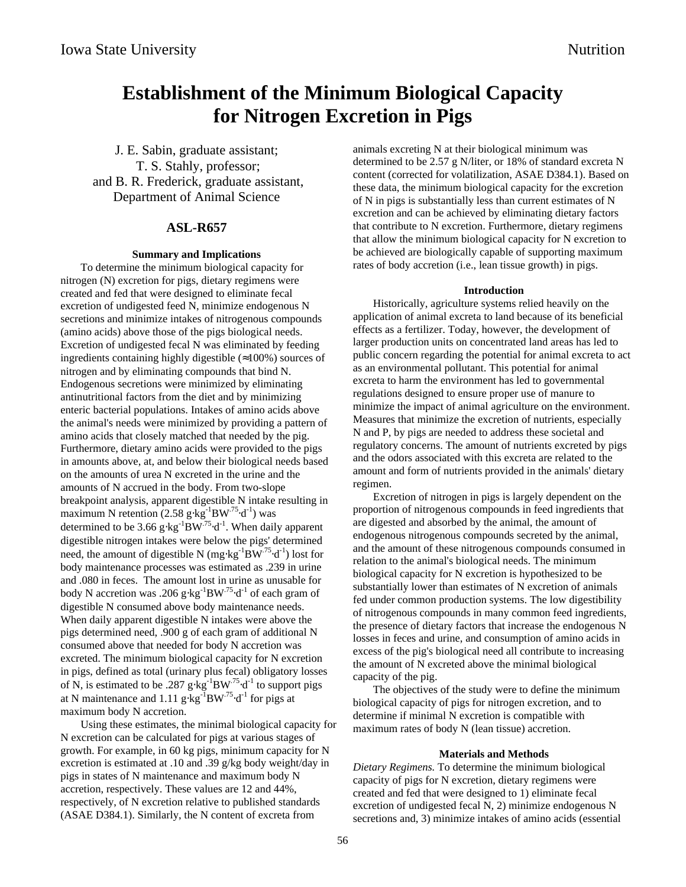# **Establishment of the Minimum Biological Capacity for Nitrogen Excretion in Pigs**

J. E. Sabin, graduate assistant; T. S. Stahly, professor; and B. R. Frederick, graduate assistant, Department of Animal Science

# **ASL-R657**

#### **Summary and Implications**

To determine the minimum biological capacity for nitrogen (N) excretion for pigs, dietary regimens were created and fed that were designed to eliminate fecal excretion of undigested feed N, minimize endogenous N secretions and minimize intakes of nitrogenous compounds (amino acids) above those of the pigs biological needs. Excretion of undigested fecal N was eliminated by feeding ingredients containing highly digestible (≈100%) sources of nitrogen and by eliminating compounds that bind N. Endogenous secretions were minimized by eliminating antinutritional factors from the diet and by minimizing enteric bacterial populations. Intakes of amino acids above the animal's needs were minimized by providing a pattern of amino acids that closely matched that needed by the pig. Furthermore, dietary amino acids were provided to the pigs in amounts above, at, and below their biological needs based on the amounts of urea N excreted in the urine and the amounts of N accrued in the body. From two-slope breakpoint analysis, apparent digestible N intake resulting in maximum N retention (2.58 g⋅kg<sup>-1</sup>BW<sup>-75</sup>⋅d<sup>-1</sup>) was determined to be 3.66 g⋅kg<sup>-1</sup>BW<sup>-75</sup>⋅d<sup>-1</sup>. When daily apparent digestible nitrogen intakes were below the pigs' determined need, the amount of digestible N (mg⋅kg<sup>-1</sup>BW<sup>-75</sup>⋅d<sup>-1</sup>) lost for body maintenance processes was estimated as .239 in urine and .080 in feces. The amount lost in urine as unusable for body N accretion was .206 g⋅kg-1BW.75⋅d-1 of each gram of digestible N consumed above body maintenance needs. When daily apparent digestible N intakes were above the pigs determined need, .900 g of each gram of additional N consumed above that needed for body N accretion was excreted. The minimum biological capacity for N excretion in pigs, defined as total (urinary plus fecal) obligatory losses of N, is estimated to be .287 g⋅kg<sup>-1</sup>BW<sup>.75</sup>⋅d<sup>-1</sup> to support pigs at N maintenance and 1.11 g⋅kg<sup>-1</sup>BW<sup>.75</sup>⋅d<sup>-1</sup> for pigs at maximum body N accretion.

Using these estimates, the minimal biological capacity for N excretion can be calculated for pigs at various stages of growth. For example, in 60 kg pigs, minimum capacity for N excretion is estimated at .10 and .39 g/kg body weight/day in pigs in states of N maintenance and maximum body N accretion, respectively. These values are 12 and 44%, respectively, of N excretion relative to published standards (ASAE D384.1). Similarly, the N content of excreta from

animals excreting N at their biological minimum was determined to be 2.57 g N/liter, or 18% of standard excreta N content (corrected for volatilization, ASAE D384.1). Based on these data, the minimum biological capacity for the excretion of N in pigs is substantially less than current estimates of N excretion and can be achieved by eliminating dietary factors that contribute to N excretion. Furthermore, dietary regimens that allow the minimum biological capacity for N excretion to be achieved are biologically capable of supporting maximum rates of body accretion (i.e., lean tissue growth) in pigs.

#### **Introduction**

Historically, agriculture systems relied heavily on the application of animal excreta to land because of its beneficial effects as a fertilizer. Today, however, the development of larger production units on concentrated land areas has led to public concern regarding the potential for animal excreta to act as an environmental pollutant. This potential for animal excreta to harm the environment has led to governmental regulations designed to ensure proper use of manure to minimize the impact of animal agriculture on the environment. Measures that minimize the excretion of nutrients, especially N and P, by pigs are needed to address these societal and regulatory concerns. The amount of nutrients excreted by pigs and the odors associated with this excreta are related to the amount and form of nutrients provided in the animals' dietary regimen.

Excretion of nitrogen in pigs is largely dependent on the proportion of nitrogenous compounds in feed ingredients that are digested and absorbed by the animal, the amount of endogenous nitrogenous compounds secreted by the animal, and the amount of these nitrogenous compounds consumed in relation to the animal's biological needs. The minimum biological capacity for N excretion is hypothesized to be substantially lower than estimates of N excretion of animals fed under common production systems. The low digestibility of nitrogenous compounds in many common feed ingredients, the presence of dietary factors that increase the endogenous N losses in feces and urine, and consumption of amino acids in excess of the pig's biological need all contribute to increasing the amount of N excreted above the minimal biological capacity of the pig.

The objectives of the study were to define the minimum biological capacity of pigs for nitrogen excretion, and to determine if minimal N excretion is compatible with maximum rates of body N (lean tissue) accretion.

#### **Materials and Methods**

*Dietary Regimens.* To determine the minimum biological capacity of pigs for N excretion, dietary regimens were created and fed that were designed to 1) eliminate fecal excretion of undigested fecal N, 2) minimize endogenous N secretions and, 3) minimize intakes of amino acids (essential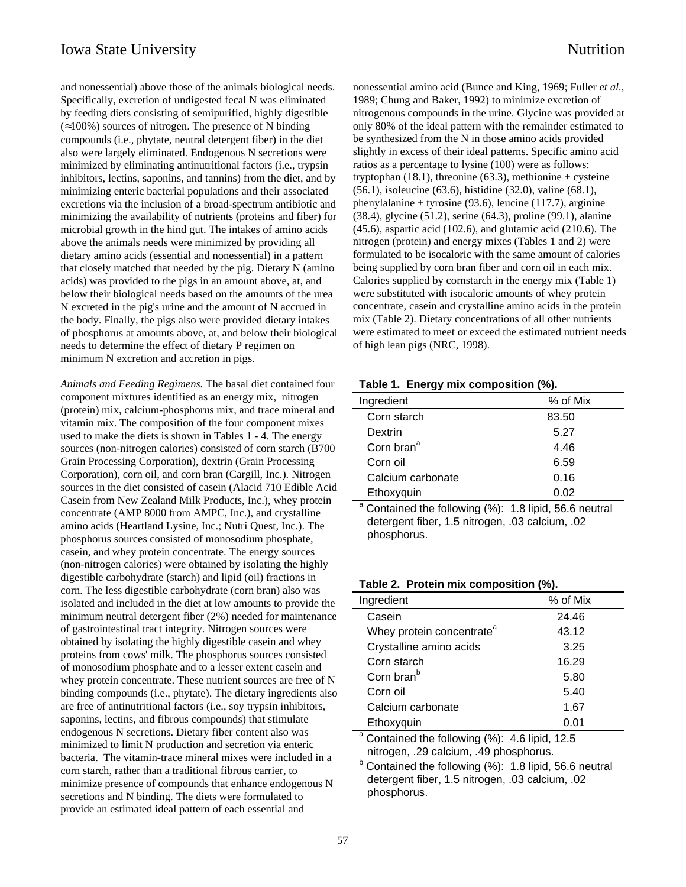and nonessential) above those of the animals biological needs. Specifically, excretion of undigested fecal N was eliminated by feeding diets consisting of semipurified, highly digestible  $(\approx 100\%)$  sources of nitrogen. The presence of N binding compounds (i.e., phytate, neutral detergent fiber) in the diet also were largely eliminated. Endogenous N secretions were minimized by eliminating antinutritional factors (i.e., trypsin inhibitors, lectins, saponins, and tannins) from the diet, and by minimizing enteric bacterial populations and their associated excretions via the inclusion of a broad-spectrum antibiotic and minimizing the availability of nutrients (proteins and fiber) for microbial growth in the hind gut. The intakes of amino acids above the animals needs were minimized by providing all dietary amino acids (essential and nonessential) in a pattern that closely matched that needed by the pig. Dietary N (amino acids) was provided to the pigs in an amount above, at, and below their biological needs based on the amounts of the urea N excreted in the pig's urine and the amount of N accrued in the body. Finally, the pigs also were provided dietary intakes of phosphorus at amounts above, at, and below their biological needs to determine the effect of dietary P regimen on minimum N excretion and accretion in pigs.

*Animals and Feeding Regimens.* The basal diet contained four component mixtures identified as an energy mix, nitrogen (protein) mix, calcium-phosphorus mix, and trace mineral and vitamin mix. The composition of the four component mixes used to make the diets is shown in Tables 1 - 4. The energy sources (non-nitrogen calories) consisted of corn starch (B700 Grain Processing Corporation), dextrin (Grain Processing Corporation), corn oil, and corn bran (Cargill, Inc.). Nitrogen sources in the diet consisted of casein (Alacid 710 Edible Acid Casein from New Zealand Milk Products, Inc.), whey protein concentrate (AMP 8000 from AMPC, Inc.), and crystalline amino acids (Heartland Lysine, Inc.; Nutri Quest, Inc.). The phosphorus sources consisted of monosodium phosphate, casein, and whey protein concentrate. The energy sources (non-nitrogen calories) were obtained by isolating the highly digestible carbohydrate (starch) and lipid (oil) fractions in corn. The less digestible carbohydrate (corn bran) also was isolated and included in the diet at low amounts to provide the minimum neutral detergent fiber (2%) needed for maintenance of gastrointestinal tract integrity. Nitrogen sources were obtained by isolating the highly digestible casein and whey proteins from cows' milk. The phosphorus sources consisted of monosodium phosphate and to a lesser extent casein and whey protein concentrate. These nutrient sources are free of N binding compounds (i.e., phytate). The dietary ingredients also are free of antinutritional factors (i.e., soy trypsin inhibitors, saponins, lectins, and fibrous compounds) that stimulate endogenous N secretions. Dietary fiber content also was minimized to limit N production and secretion via enteric bacteria. The vitamin-trace mineral mixes were included in a corn starch, rather than a traditional fibrous carrier, to minimize presence of compounds that enhance endogenous N secretions and N binding. The diets were formulated to provide an estimated ideal pattern of each essential and

nonessential amino acid (Bunce and King, 1969; Fuller *et al.*, 1989; Chung and Baker, 1992) to minimize excretion of nitrogenous compounds in the urine. Glycine was provided at only 80% of the ideal pattern with the remainder estimated to be synthesized from the N in those amino acids provided slightly in excess of their ideal patterns. Specific amino acid ratios as a percentage to lysine (100) were as follows: tryptophan  $(18.1)$ , threonine  $(63.3)$ , methionine + cysteine (56.1), isoleucine (63.6), histidine (32.0), valine (68.1), phenylalanine + tyrosine (93.6), leucine (117.7), arginine (38.4), glycine (51.2), serine (64.3), proline (99.1), alanine (45.6), aspartic acid (102.6), and glutamic acid (210.6). The nitrogen (protein) and energy mixes (Tables 1 and 2) were formulated to be isocaloric with the same amount of calories being supplied by corn bran fiber and corn oil in each mix. Calories supplied by cornstarch in the energy mix (Table 1) were substituted with isocaloric amounts of whey protein concentrate, casein and crystalline amino acids in the protein mix (Table 2). Dietary concentrations of all other nutrients were estimated to meet or exceed the estimated nutrient needs of high lean pigs (NRC, 1998).

#### **Table 1. Energy mix composition (%).**

| Ingredient             | % of Mix |
|------------------------|----------|
| Corn starch            | 83.50    |
| Dextrin                | 5.27     |
| Corn bran <sup>ª</sup> | 4.46     |
| Corn oil               | 6.59     |
| Calcium carbonate      | 0.16     |
| Ethoxyquin             | 0.02     |

a Contained the following (%): 1.8 lipid, 56.6 neutral detergent fiber, 1.5 nitrogen, .03 calcium, .02 phosphorus.

#### **Table 2. Protein mix composition (%).**

| Ingredient                                                                                          | % of Mix |  |
|-----------------------------------------------------------------------------------------------------|----------|--|
| Casein                                                                                              | 24.46    |  |
| Whey protein concentrate <sup>a</sup>                                                               | 43.12    |  |
| Crystalline amino acids                                                                             | 3.25     |  |
| Corn starch                                                                                         | 16.29    |  |
| Corn bran <sup>b</sup>                                                                              | 5.80     |  |
| Corn oil                                                                                            | 5.40     |  |
| Calcium carbonate                                                                                   | 1.67     |  |
| Ethoxyquin                                                                                          | 0.01     |  |
| <sup>a</sup> Contained the following (%): 4.6 lipid, 12.5<br>nitrogen, .29 calcium, .49 phosphorus. |          |  |

 $b$  Contained the following (%): 1.8 lipid, 56.6 neutral detergent fiber, 1.5 nitrogen, .03 calcium, .02 phosphorus.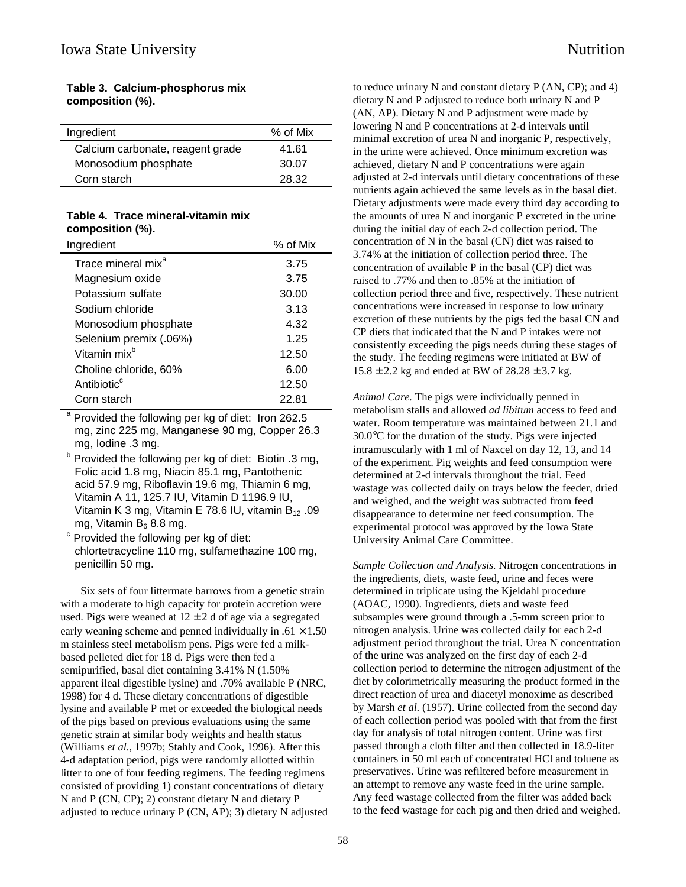**Table 3. Calcium-phosphorus mix composition (%).**

**Table 4. Trace mineral-vitamin mix composition (%).**

| Ingredient                     | % of Mix |
|--------------------------------|----------|
| Trace mineral mix <sup>a</sup> | 3.75     |
| Magnesium oxide                | 3.75     |
| Potassium sulfate              | 30.00    |
| Sodium chloride                | 3.13     |
| Monosodium phosphate           | 4.32     |
| Selenium premix (.06%)         | 1.25     |
| Vitamin mix <sup>b</sup>       | 12.50    |
| Choline chloride, 60%          | 6.00     |
| Antibiotic <sup>c</sup>        | 12.50    |
| Corn starch                    | 22.81    |

<sup>a</sup> Provided the following per kg of diet: Iron 262.5 mg, zinc 225 mg, Manganese 90 mg, Copper 26.3 mg, Iodine .3 mg.

- <sup>b</sup> Provided the following per kg of diet: Biotin .3 mg, Folic acid 1.8 mg, Niacin 85.1 mg, Pantothenic acid 57.9 mg, Riboflavin 19.6 mg, Thiamin 6 mg, Vitamin A 11, 125.7 IU, Vitamin D 1196.9 IU, Vitamin K 3 mg, Vitamin E 78.6 IU, vitamin  $B_{12}$  .09 mg, Vitamin  $B_6$  8.8 mg.
- $\textdegree$  Provided the following per kg of diet: chlortetracycline 110 mg, sulfamethazine 100 mg, penicillin 50 mg.

Six sets of four littermate barrows from a genetic strain with a moderate to high capacity for protein accretion were used. Pigs were weaned at  $12 \pm 2$  d of age via a segregated early weaning scheme and penned individually in  $.61 \times 1.50$ m stainless steel metabolism pens. Pigs were fed a milkbased pelleted diet for 18 d. Pigs were then fed a semipurified, basal diet containing 3.41% N (1.50% apparent ileal digestible lysine) and .70% available P (NRC, 1998) for 4 d. These dietary concentrations of digestible lysine and available P met or exceeded the biological needs of the pigs based on previous evaluations using the same genetic strain at similar body weights and health status (Williams *et al.*, 1997b; Stahly and Cook, 1996). After this 4-d adaptation period, pigs were randomly allotted within litter to one of four feeding regimens. The feeding regimens consisted of providing 1) constant concentrations of dietary N and P (CN, CP); 2) constant dietary N and dietary P adjusted to reduce urinary P (CN, AP); 3) dietary N adjusted to reduce urinary N and constant dietary P (AN, CP); and 4) dietary N and P adjusted to reduce both urinary N and P (AN, AP). Dietary N and P adjustment were made by lowering N and P concentrations at 2-d intervals until minimal excretion of urea N and inorganic P, respectively, in the urine were achieved. Once minimum excretion was achieved, dietary N and P concentrations were again adjusted at 2-d intervals until dietary concentrations of these nutrients again achieved the same levels as in the basal diet. Dietary adjustments were made every third day according to the amounts of urea N and inorganic P excreted in the urine during the initial day of each 2-d collection period. The concentration of N in the basal (CN) diet was raised to 3.74% at the initiation of collection period three. The concentration of available P in the basal (CP) diet was raised to .77% and then to .85% at the initiation of collection period three and five, respectively. These nutrient concentrations were increased in response to low urinary excretion of these nutrients by the pigs fed the basal CN and CP diets that indicated that the N and P intakes were not consistently exceeding the pigs needs during these stages of the study. The feeding regimens were initiated at BW of  $15.8 \pm 2.2$  kg and ended at BW of  $28.28 \pm 3.7$  kg.

*Animal Care.* The pigs were individually penned in metabolism stalls and allowed *ad libitum* access to feed and water. Room temperature was maintained between 21.1 and 30.0°C for the duration of the study. Pigs were injected intramuscularly with 1 ml of Naxcel on day 12, 13, and 14 of the experiment. Pig weights and feed consumption were determined at 2-d intervals throughout the trial. Feed wastage was collected daily on trays below the feeder, dried and weighed, and the weight was subtracted from feed disappearance to determine net feed consumption. The experimental protocol was approved by the Iowa State University Animal Care Committee.

*Sample Collection and Analysis.* Nitrogen concentrations in the ingredients, diets, waste feed, urine and feces were determined in triplicate using the Kjeldahl procedure (AOAC, 1990). Ingredients, diets and waste feed subsamples were ground through a .5-mm screen prior to nitrogen analysis. Urine was collected daily for each 2-d adjustment period throughout the trial. Urea N concentration of the urine was analyzed on the first day of each 2-d collection period to determine the nitrogen adjustment of the diet by colorimetrically measuring the product formed in the direct reaction of urea and diacetyl monoxime as described by Marsh *et al.* (1957). Urine collected from the second day of each collection period was pooled with that from the first day for analysis of total nitrogen content. Urine was first passed through a cloth filter and then collected in 18.9-liter containers in 50 ml each of concentrated HCl and toluene as preservatives. Urine was refiltered before measurement in an attempt to remove any waste feed in the urine sample. Any feed wastage collected from the filter was added back to the feed wastage for each pig and then dried and weighed.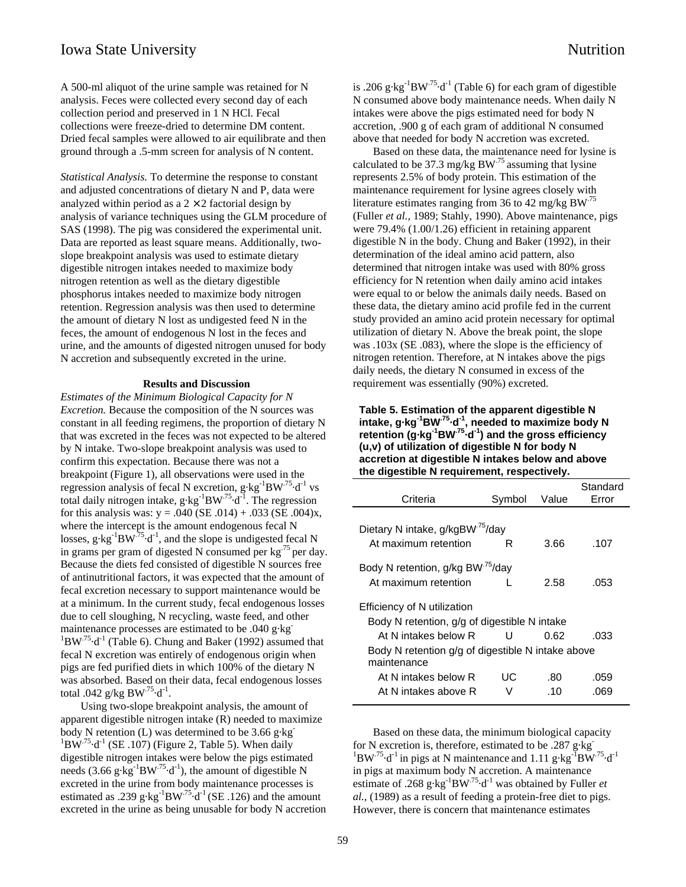A 500-ml aliquot of the urine sample was retained for N analysis. Feces were collected every second day of each collection period and preserved in 1 N HCl. Fecal collections were freeze-dried to determine DM content. Dried fecal samples were allowed to air equilibrate and then ground through a .5-mm screen for analysis of N content.

*Statistical Analysis.* To determine the response to constant and adjusted concentrations of dietary N and P, data were analyzed within period as a  $2 \times 2$  factorial design by analysis of variance techniques using the GLM procedure of SAS (1998). The pig was considered the experimental unit. Data are reported as least square means. Additionally, twoslope breakpoint analysis was used to estimate dietary digestible nitrogen intakes needed to maximize body nitrogen retention as well as the dietary digestible phosphorus intakes needed to maximize body nitrogen retention. Regression analysis was then used to determine the amount of dietary N lost as undigested feed N in the feces, the amount of endogenous N lost in the feces and urine, and the amounts of digested nitrogen unused for body N accretion and subsequently excreted in the urine.

#### **Results and Discussion**

*Estimates of the Minimum Biological Capacity for N Excretion.* Because the composition of the N sources was constant in all feeding regimens, the proportion of dietary N that was excreted in the feces was not expected to be altered by N intake. Two-slope breakpoint analysis was used to confirm this expectation. Because there was not a breakpoint (Figure 1), all observations were used in the regression analysis of fecal N excretion,  $g \cdot kg^{-1}BW^{75} \cdot d^{-1}$  vs total daily nitrogen intake,  $g \cdot kg^{-1}BW^{75} \cdot d^{-1}$ . The regression for this analysis was:  $y = .040$  (SE .014) + .033 (SE .004)x, where the intercept is the amount endogenous fecal N losses,  $g \cdot kg^{-1}BW^{75} \cdot d^{-1}$ , and the slope is undigested fecal N in grams per gram of digested N consumed per  $\text{kg}^{75}$  per day. Because the diets fed consisted of digestible N sources free of antinutritional factors, it was expected that the amount of fecal excretion necessary to support maintenance would be at a minimum. In the current study, fecal endogenous losses due to cell sloughing, N recycling, waste feed, and other maintenance processes are estimated to be .040 g·kg- ${}^{1}$ BW<sup>.75</sup>·d<sup>-1</sup> (Table 6). Chung and Baker (1992) assumed that fecal N excretion was entirely of endogenous origin when pigs are fed purified diets in which 100% of the dietary N was absorbed. Based on their data, fecal endogenous losses total .042 g/kg BW $^{.75}$ ·d<sup>-1</sup>.

Using two-slope breakpoint analysis, the amount of apparent digestible nitrogen intake (R) needed to maximize body N retention (L) was determined to be  $3.66$  g·kg<sup>-</sup>  ${}^{1}$ BW<sup>.75</sup>·d<sup>-1</sup> (SE .107) (Figure 2, Table 5). When daily digestible nitrogen intakes were below the pigs estimated needs (3.66 g·kg<sup>-1</sup>BW<sup>.75</sup>·d<sup>-1</sup>), the amount of digestible N excreted in the urine from body maintenance processes is estimated as .239 g·kg<sup>-1</sup>BW<sup>.75</sup>·d<sup>-1</sup> (SE .126) and the amount excreted in the urine as being unusable for body N accretion is .206 g·kg<sup>-1</sup>BW<sup>.75</sup>·d<sup>-1</sup> (Table 6) for each gram of digestible N consumed above body maintenance needs. When daily N intakes were above the pigs estimated need for body N accretion, .900 g of each gram of additional N consumed above that needed for body N accretion was excreted.

Based on these data, the maintenance need for lysine is calculated to be 37.3 mg/kg BW $^{75}$  assuming that lysine represents 2.5% of body protein. This estimation of the maintenance requirement for lysine agrees closely with literature estimates ranging from 36 to 42 mg/kg BW<sup>.75</sup> (Fuller *et al.,* 1989; Stahly, 1990). Above maintenance, pigs were 79.4% (1.00/1.26) efficient in retaining apparent digestible N in the body. Chung and Baker (1992), in their determination of the ideal amino acid pattern, also determined that nitrogen intake was used with 80% gross efficiency for N retention when daily amino acid intakes were equal to or below the animals daily needs. Based on these data, the dietary amino acid profile fed in the current study provided an amino acid protein necessary for optimal utilization of dietary N. Above the break point, the slope was .103x (SE .083), where the slope is the efficiency of nitrogen retention. Therefore, at N intakes above the pigs daily needs, the dietary N consumed in excess of the requirement was essentially (90%) excreted.

**Table 5. Estimation of the apparent digestible N intake, g·kg-1BW.75·d-1, needed to maximize body N retention (g·kg-1BW.75·d-1) and the gross efficiency (u,v) of utilization of digestible N for body N accretion at digestible N intakes below and above the digestible N requirement, respectively.**

| Criteria                                                         | Symbol | Value | Standard<br>Error |  |
|------------------------------------------------------------------|--------|-------|-------------------|--|
| Dietary N intake, g/kgBW <sup>75</sup> /day                      |        |       |                   |  |
| At maximum retention                                             | R      | 3.66  | .107              |  |
| Body N retention, g/kg BW <sup>75</sup> /day                     |        |       |                   |  |
| At maximum retention                                             |        | 2.58  | .053              |  |
| Efficiency of N utilization                                      |        |       |                   |  |
| Body N retention, g/g of digestible N intake                     |        |       |                   |  |
| At N intakes below R                                             | U      | 0.62  | .033              |  |
| Body N retention g/g of digestible N intake above<br>maintenance |        |       |                   |  |
| At N intakes below R                                             | UC.    | .80   | .059              |  |
| At N intakes above R                                             |        | .10   | -069              |  |

Based on these data, the minimum biological capacity for N excretion is, therefore, estimated to be .287 g·kg- $1BW^{.75}\text{-d}^{-1}$  in pigs at N maintenance and 1.11 g·kg<sup>-1</sup> $BW^{.75}\text{-d}^{-1}$ in pigs at maximum body N accretion. A maintenance estimate of .268 g·kg<sup>-1</sup>BW<sup>.75</sup>·d<sup>-1</sup> was obtained by Fuller *et al.,* (1989) as a result of feeding a protein-free diet to pigs. However, there is concern that maintenance estimates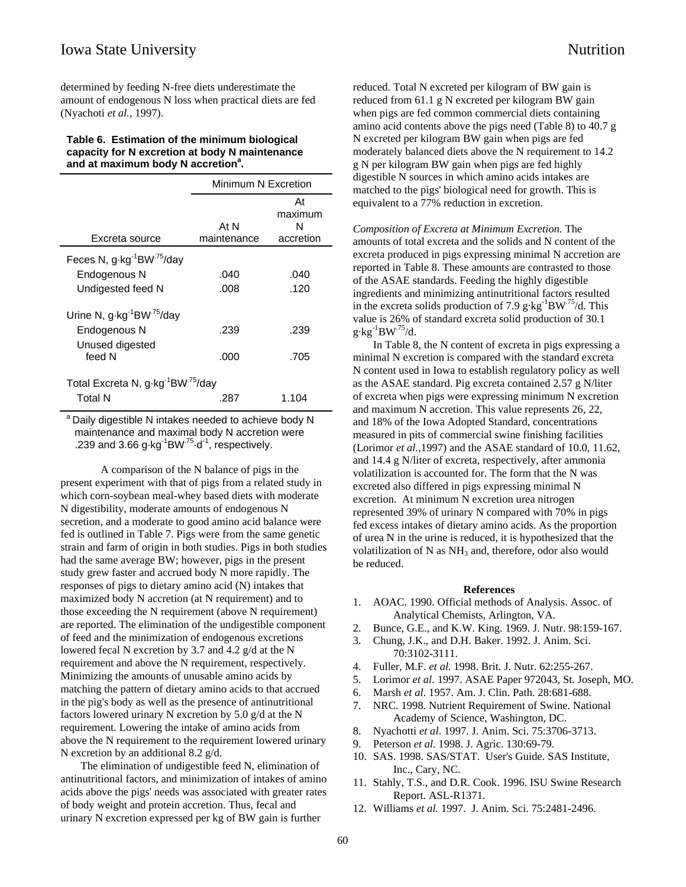determined by feeding N-free diets underestimate the amount of endogenous N loss when practical diets are fed (Nyachoti *et al.,* 1997).

#### **Table 6. Estimation of the minimum biological capacity for N excretion at body N maintenance** and at maximum body N accretion<sup>a</sup>.

|                                                                       | Minimum N Excretion |                                 |  |
|-----------------------------------------------------------------------|---------------------|---------------------------------|--|
| Excreta source                                                        | At N<br>maintenance | At<br>maximum<br>N<br>accretion |  |
| Feces N, g kg <sup>-1</sup> BW <sup>75</sup> /day                     |                     |                                 |  |
| Endogenous N                                                          | .040                | .040                            |  |
| Undigested feed N                                                     | .008                | .120                            |  |
| Urine N, g kg <sup>-1</sup> BW <sup>-75</sup> /day                    |                     |                                 |  |
| Endogenous N                                                          | .239                | .239                            |  |
| Unused digested<br>feed N                                             | .000                | .705                            |  |
| Total Excreta N, g-kg <sup>-1</sup> BW <sup>-75</sup> /day<br>Total N | .287                | 1.104                           |  |

<sup>a</sup> Daily digestible N intakes needed to achieve body N maintenance and maximal body N accretion were .239 and 3.66  $g \cdot kg^{-1}BW^{75} \cdot d^{-1}$ , respectively.

A comparison of the N balance of pigs in the present experiment with that of pigs from a related study in which corn-soybean meal-whey based diets with moderate N digestibility, moderate amounts of endogenous N secretion, and a moderate to good amino acid balance were fed is outlined in Table 7. Pigs were from the same genetic strain and farm of origin in both studies. Pigs in both studies had the same average BW; however, pigs in the present study grew faster and accrued body N more rapidly. The responses of pigs to dietary amino acid (N) intakes that maximized body N accretion (at N requirement) and to those exceeding the N requirement (above N requirement) are reported. The elimination of the undigestible component of feed and the minimization of endogenous excretions lowered fecal N excretion by 3.7 and 4.2 g/d at the N requirement and above the N requirement, respectively. Minimizing the amounts of unusable amino acids by matching the pattern of dietary amino acids to that accrued in the pig's body as well as the presence of antinutritional factors lowered urinary N excretion by 5.0 g/d at the N requirement. Lowering the intake of amino acids from above the N requirement to the requirement lowered urinary N excretion by an additional 8.2 g/d.

The elimination of undigestible feed N, elimination of antinutritional factors, and minimization of intakes of amino acids above the pigs' needs was associated with greater rates of body weight and protein accretion. Thus, fecal and urinary N excretion expressed per kg of BW gain is further

reduced. Total N excreted per kilogram of BW gain is reduced from 61.1 g N excreted per kilogram BW gain when pigs are fed common commercial diets containing amino acid contents above the pigs need (Table 8) to 40.7 g N excreted per kilogram BW gain when pigs are fed moderately balanced diets above the N requirement to 14.2 g N per kilogram BW gain when pigs are fed highly digestible N sources in which amino acids intakes are matched to the pigs' biological need for growth. This is equivalent to a 77% reduction in excretion.

*Composition of Excreta at Minimum Excretion.* The amounts of total excreta and the solids and N content of the excreta produced in pigs expressing minimal N accretion are reported in Table 8. These amounts are contrasted to those of the ASAE standards. Feeding the highly digestible ingredients and minimizing antinutritional factors resulted in the excreta solids production of 7.9 g·kg<sup>-1</sup>BW<sup>-75</sup>/d. This value is 26% of standard excreta solid production of 30.1  $g \cdot kg^{-1}BW^{.75}/d.$ 

In Table 8, the N content of excreta in pigs expressing a minimal N excretion is compared with the standard excreta N content used in Iowa to establish regulatory policy as well as the ASAE standard. Pig excreta contained 2.57 g N/liter of excreta when pigs were expressing minimum N excretion and maximum N accretion. This value represents 26, 22, and 18% of the Iowa Adopted Standard, concentrations measured in pits of commercial swine finishing facilities (Lorimor *et al.,*1997) and the ASAE standard of 10.0, 11.62, and 14.4 g N/liter of excreta, respectively, after ammonia volatilization is accounted for. The form that the N was excreted also differed in pigs expressing minimal N excretion. At minimum N excretion urea nitrogen represented 39% of urinary N compared with 70% in pigs fed excess intakes of dietary amino acids. As the proportion of urea N in the urine is reduced, it is hypothesized that the volatilization of N as  $NH_3$  and, therefore, odor also would be reduced.

#### **References**

- 1. AOAC. 1990. Official methods of Analysis. Assoc. of Analytical Chemists, Arlington, VA.
- 2. Bunce, G.E., and K.W. King. 1969. J. Nutr. 98:159-167.
- 3. Chung, J.K., and D.H. Baker. 1992. J. Anim. Sci. 70:3102-3111.
- 4. Fuller, M.F. *et al.* 1998. Brit. J. Nutr. 62:255-267.
- 5. Lorimor *et al*. 1997. ASAE Paper 972043, St. Joseph, MO.
- 6. Marsh *et al*. 1957. Am. J. Clin. Path. 28:681-688.
- 7. NRC. 1998. Nutrient Requirement of Swine. National Academy of Science, Washington, DC.
- 8. Nyachotti *et al*. 1997. J. Anim. Sci. 75:3706-3713.
- 9. Peterson *et al.* 1998. J. Agric. 130:69-79.
- 10. SAS. 1998. SAS/STAT. User's Guide. SAS Institute, Inc., Cary, NC.
- 11. Stahly, T.S., and D.R. Cook. 1996. ISU Swine Research Report. ASL-R1371.
- 12. Williams *et al.* 1997. J. Anim. Sci. 75:2481-2496.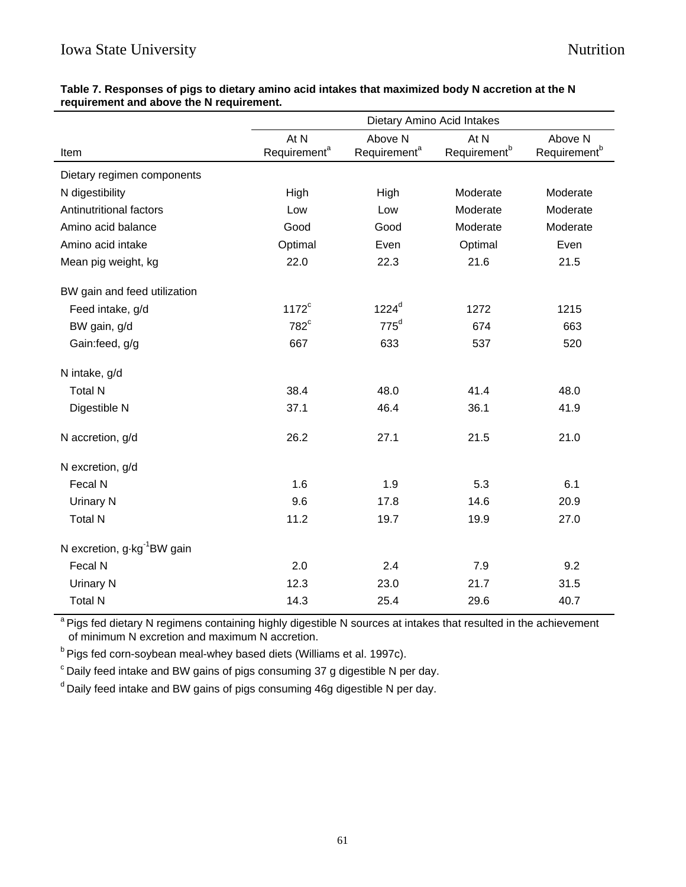|                                         | Dietary Amino Acid Intakes       |                                     |                                  |                                     |
|-----------------------------------------|----------------------------------|-------------------------------------|----------------------------------|-------------------------------------|
| Item                                    | At N<br>Requirement <sup>a</sup> | Above N<br>Requirement <sup>a</sup> | At N<br>Requirement <sup>b</sup> | Above N<br>Requirement <sup>b</sup> |
| Dietary regimen components              |                                  |                                     |                                  |                                     |
| N digestibility                         | High                             | High                                | Moderate                         | Moderate                            |
| Antinutritional factors                 | Low                              | Low                                 | Moderate                         | Moderate                            |
| Amino acid balance                      | Good                             | Good                                | Moderate                         | Moderate                            |
| Amino acid intake                       | Optimal                          | Even                                | Optimal                          | Even                                |
| Mean pig weight, kg                     | 22.0                             | 22.3                                | 21.6                             | 21.5                                |
| BW gain and feed utilization            |                                  |                                     |                                  |                                     |
| Feed intake, g/d                        | $1172^c$                         | 1224 <sup>d</sup>                   | 1272                             | 1215                                |
| BW gain, g/d                            | 782 <sup>c</sup>                 | $775^d$                             | 674                              | 663                                 |
| Gain:feed, g/g                          | 667                              | 633                                 | 537                              | 520                                 |
| N intake, g/d                           |                                  |                                     |                                  |                                     |
| <b>Total N</b>                          | 38.4                             | 48.0                                | 41.4                             | 48.0                                |
| Digestible N                            | 37.1                             | 46.4                                | 36.1                             | 41.9                                |
| N accretion, g/d                        | 26.2                             | 27.1                                | 21.5                             | 21.0                                |
| N excretion, g/d                        |                                  |                                     |                                  |                                     |
| Fecal N                                 | 1.6                              | 1.9                                 | 5.3                              | 6.1                                 |
| Urinary N                               | 9.6                              | 17.8                                | 14.6                             | 20.9                                |
| <b>Total N</b>                          | 11.2                             | 19.7                                | 19.9                             | 27.0                                |
| N excretion, g kg <sup>-1</sup> BW gain |                                  |                                     |                                  |                                     |
| Fecal N                                 | 2.0                              | 2.4                                 | 7.9                              | 9.2                                 |
| Urinary N                               | 12.3                             | 23.0                                | 21.7                             | 31.5                                |
| <b>Total N</b>                          | 14.3                             | 25.4                                | 29.6                             | 40.7                                |

# **Table 7. Responses of pigs to dietary amino acid intakes that maximized body N accretion at the N requirement and above the N requirement.**

<sup>a</sup> Pigs fed dietary N regimens containing highly digestible N sources at intakes that resulted in the achievement of minimum N excretion and maximum N accretion.

<sup>b</sup> Pigs fed corn-soybean meal-whey based diets (Williams et al. 1997c).

 $\degree$  Daily feed intake and BW gains of pigs consuming 37 g digestible N per day.

<sup>d</sup> Daily feed intake and BW gains of pigs consuming 46g digestible N per day.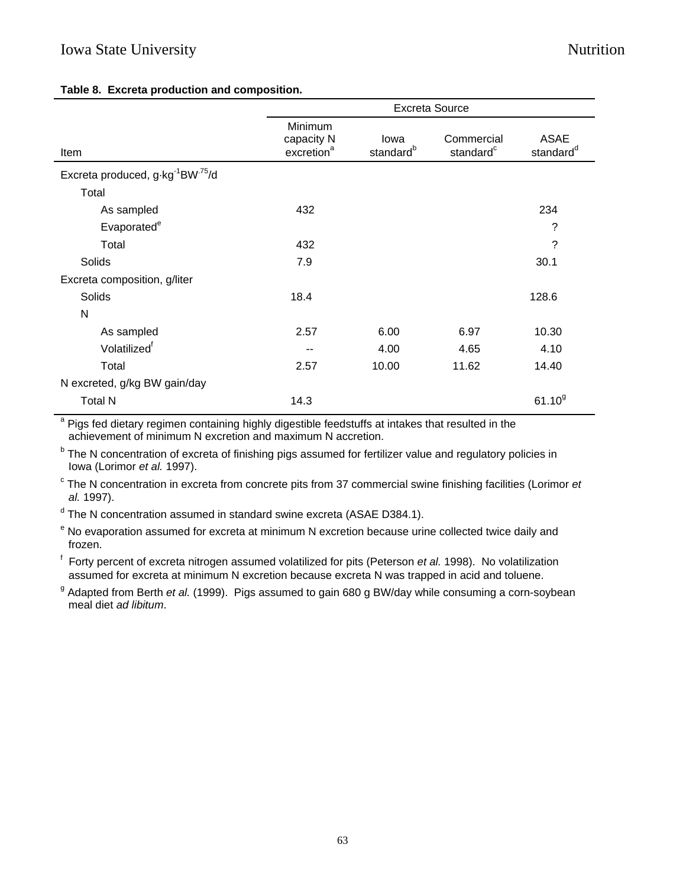# Iowa State University Nutrition

# **Table 8. Excreta production and composition.**

|                                                          | <b>Excreta Source</b>                           |                               |                                     |                                      |
|----------------------------------------------------------|-------------------------------------------------|-------------------------------|-------------------------------------|--------------------------------------|
| Item                                                     | Minimum<br>capacity N<br>excretion <sup>a</sup> | lowa<br>standard <sup>b</sup> | Commercial<br>standard <sup>c</sup> | <b>ASAE</b><br>standard <sup>d</sup> |
| Excreta produced, g.kg <sup>-1</sup> BW <sup>75</sup> /d |                                                 |                               |                                     |                                      |
| Total                                                    |                                                 |                               |                                     |                                      |
| As sampled                                               | 432                                             |                               |                                     | 234                                  |
| Evaporated <sup>e</sup>                                  |                                                 |                               |                                     | ?                                    |
| Total                                                    | 432                                             |                               |                                     | ?                                    |
| Solids                                                   | 7.9                                             |                               |                                     | 30.1                                 |
| Excreta composition, g/liter                             |                                                 |                               |                                     |                                      |
| Solids                                                   | 18.4                                            |                               |                                     | 128.6                                |
| N                                                        |                                                 |                               |                                     |                                      |
| As sampled                                               | 2.57                                            | 6.00                          | 6.97                                | 10.30                                |
| Volatilized <sup>f</sup>                                 | --                                              | 4.00                          | 4.65                                | 4.10                                 |
| Total                                                    | 2.57                                            | 10.00                         | 11.62                               | 14.40                                |
| N excreted, g/kg BW gain/day                             |                                                 |                               |                                     |                                      |
| <b>Total N</b>                                           | 14.3                                            |                               |                                     | $61.10^{9}$                          |

a Pigs fed dietary regimen containing highly digestible feedstuffs at intakes that resulted in the achievement of minimum N excretion and maximum N accretion.

<sup>b</sup> The N concentration of excreta of finishing pigs assumed for fertilizer value and regulatory policies in Iowa (Lorimor *et al.* 1997).

c The N concentration in excreta from concrete pits from 37 commercial swine finishing facilities (Lorimor *et al.* 1997).

<sup>d</sup> The N concentration assumed in standard swine excreta (ASAE D384.1).

<sup>e</sup> No evaporation assumed for excreta at minimum N excretion because urine collected twice daily and frozen.

f Forty percent of excreta nitrogen assumed volatilized for pits (Peterson *et al.* 1998). No volatilization assumed for excreta at minimum N excretion because excreta N was trapped in acid and toluene.

<sup>g</sup> Adapted from Berth *et al.* (1999). Pigs assumed to gain 680 g BW/day while consuming a corn-soybean meal diet *ad libitum*.